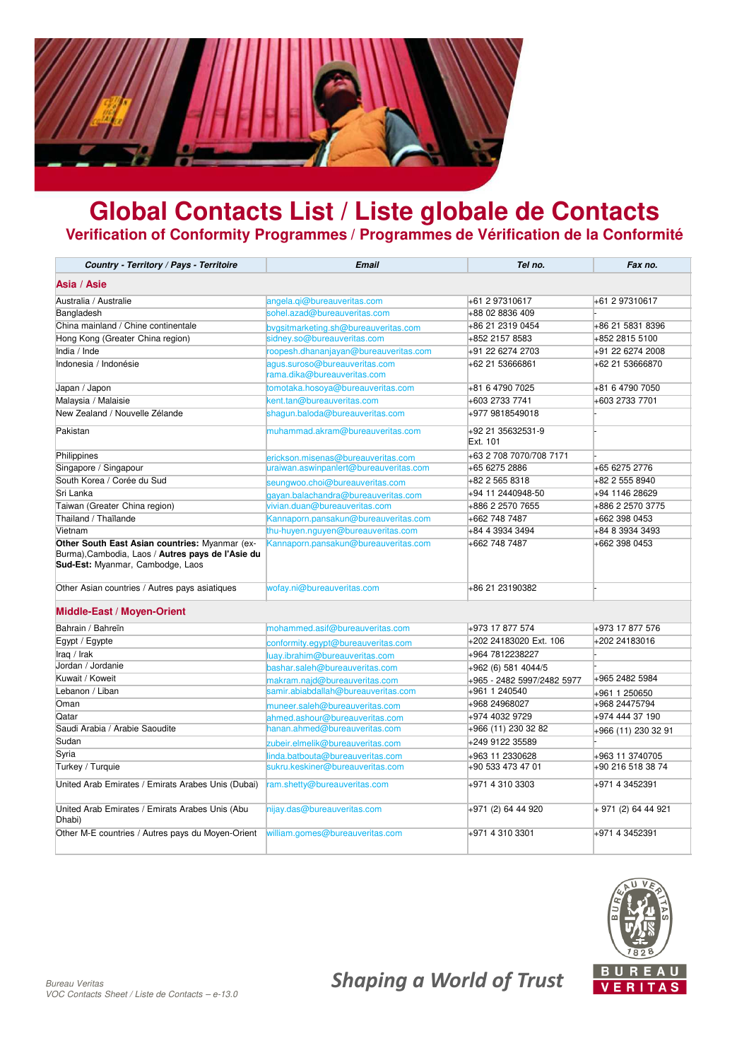

## **Global Contacts List / Liste globale de Contacts Verification of Conformity Programmes / Programmes de Vérification de la Conformité**

| Country - Territory / Pays - Territoire                                                                                                 | <b>Email</b>                                                 | Tel no.                       | Fax no.             |
|-----------------------------------------------------------------------------------------------------------------------------------------|--------------------------------------------------------------|-------------------------------|---------------------|
| Asia / Asie                                                                                                                             |                                                              |                               |                     |
| Australia / Australie                                                                                                                   | angela.qi@bureauveritas.com                                  | +61 2 97310617                | +61 2 97310617      |
| Bangladesh                                                                                                                              | sohel.azad@bureauveritas.com                                 | +88 02 8836 409               |                     |
| China mainland / Chine continentale                                                                                                     | bvgsitmarketing.sh@bureauveritas.com                         | +86 21 2319 0454              | +86 21 5831 8396    |
| Hong Kong (Greater China region)                                                                                                        | sidney.so@bureauveritas.com                                  | +852 2157 8583                | +852 2815 5100      |
| India / Inde                                                                                                                            | roopesh.dhananjayan@bureauveritas.com                        | +91 22 6274 2703              | +91 22 6274 2008    |
| Indonesia / Indonésie                                                                                                                   | agus.suroso@bureauveritas.com<br>rama.dika@bureauveritas.com | +62 21 53666861               | +62 21 53666870     |
| Japan / Japon                                                                                                                           | tomotaka.hosoya@bureauveritas.com                            | +81 6 4790 7025               | +81 6 4790 7050     |
| Malaysia / Malaisie                                                                                                                     | kent.tan@bureauveritas.com                                   | +603 2733 7741                | +603 2733 7701      |
| New Zealand / Nouvelle Zélande                                                                                                          | shaqun.baloda@bureauveritas.com                              | +977 9818549018               |                     |
| Pakistan                                                                                                                                | muhammad.akram@bureauveritas.com                             | +92 21 35632531-9<br>Ext. 101 |                     |
| Philippines                                                                                                                             | erickson.misenas@bureauveritas.com                           | +63 2 708 7070/708 7171       |                     |
| Singapore / Singapour                                                                                                                   | uraiwan.aswinpanlert@bureauveritas.com                       | +65 6275 2886                 | +65 6275 2776       |
| South Korea / Corée du Sud                                                                                                              | seungwoo.choi@bureauveritas.com                              | +82 2 565 8318                | +82 2 555 8940      |
| Sri Lanka                                                                                                                               | gayan.balachandra@bureauveritas.com                          | +94 11 2440948-50             | +94 1146 28629      |
| Taiwan (Greater China region)                                                                                                           | vivian.duan@bureauveritas.com                                | +886 2 2570 7655              | +886 2 2570 3775    |
| Thailand / Thaïlande                                                                                                                    | Kannaporn.pansakun@bureauveritas.com                         | +662 748 7487                 | +662 398 0453       |
| Vietnam                                                                                                                                 | thu-huyen.nguyen@bureauveritas.com                           | +84 4 3934 3494               | +84 8 3934 3493     |
| Other South East Asian countries: Myanmar (ex-<br>Burma), Cambodia, Laos / Autres pays de l'Asie du<br>Sud-Est: Myanmar, Cambodge, Laos | Kannaporn.pansakun@bureauveritas.com                         | +662 748 7487                 | +662 398 0453       |
| Other Asian countries / Autres pays asiatiques                                                                                          | wofay.ni@bureauveritas.com                                   | +86 21 23190382               |                     |
| Middle-East / Moyen-Orient                                                                                                              |                                                              |                               |                     |
| Bahrain / Bahreïn                                                                                                                       | mohammed.asif@bureauveritas.com                              | +973 17 877 574               | +973 17 877 576     |
| Egypt / Egypte                                                                                                                          | conformity.eqypt@bureauveritas.com                           | +202 24183020 Ext. 106        | +202 24183016       |
| Iraq / Irak                                                                                                                             | luay.ibrahim@bureauveritas.com                               | +964 7812238227               |                     |
| Jordan / Jordanie                                                                                                                       | bashar.saleh@bureauveritas.com                               | +962 (6) 581 4044/5           |                     |
| Kuwait / Koweit                                                                                                                         | makram.najd@bureauveritas.com                                | +965 - 2482 5997/2482 5977    | +965 2482 5984      |
| Lebanon / Liban                                                                                                                         | samir.abiabdallah@bureauveritas.com                          | +961 1 240540                 | +961 1 250650       |
| Oman                                                                                                                                    | muneer.saleh@bureauveritas.com                               | +968 24968027                 | +968 24475794       |
| Qatar                                                                                                                                   | ahmed.ashour@bureauveritas.com                               | +974 4032 9729                | +974 444 37 190     |
| Saudi Arabia / Arabie Saoudite                                                                                                          | hanan.ahmed@bureauveritas.com                                | +966 (11) 230 32 82           | +966 (11) 230 32 91 |
| Sudan                                                                                                                                   | zubeir.elmelik@bureauveritas.com                             | +249 9122 35589               |                     |
| Syria                                                                                                                                   | linda.batbouta@bureauveritas.com                             | +963 11 2330628               | +963 11 3740705     |
| Turkey / Turquie                                                                                                                        | sukru.keskiner@bureauveritas.com                             | +90 533 473 47 01             | +90 216 518 38 74   |
| United Arab Emirates / Emirats Arabes Unis (Dubai)                                                                                      | ram.shetty@bureauveritas.com                                 | +971 4 310 3303               | +971 4 3452391      |
| United Arab Emirates / Emirats Arabes Unis (Abu<br>Dhabi)                                                                               | nijay.das@bureauveritas.com                                  | +971 (2) 64 44 920            | + 971 (2) 64 44 921 |
| Other M-E countries / Autres pays du Moyen-Orient                                                                                       | william.gomes@bureauveritas.com                              | +971 4 310 3301               | +971 4 3452391      |

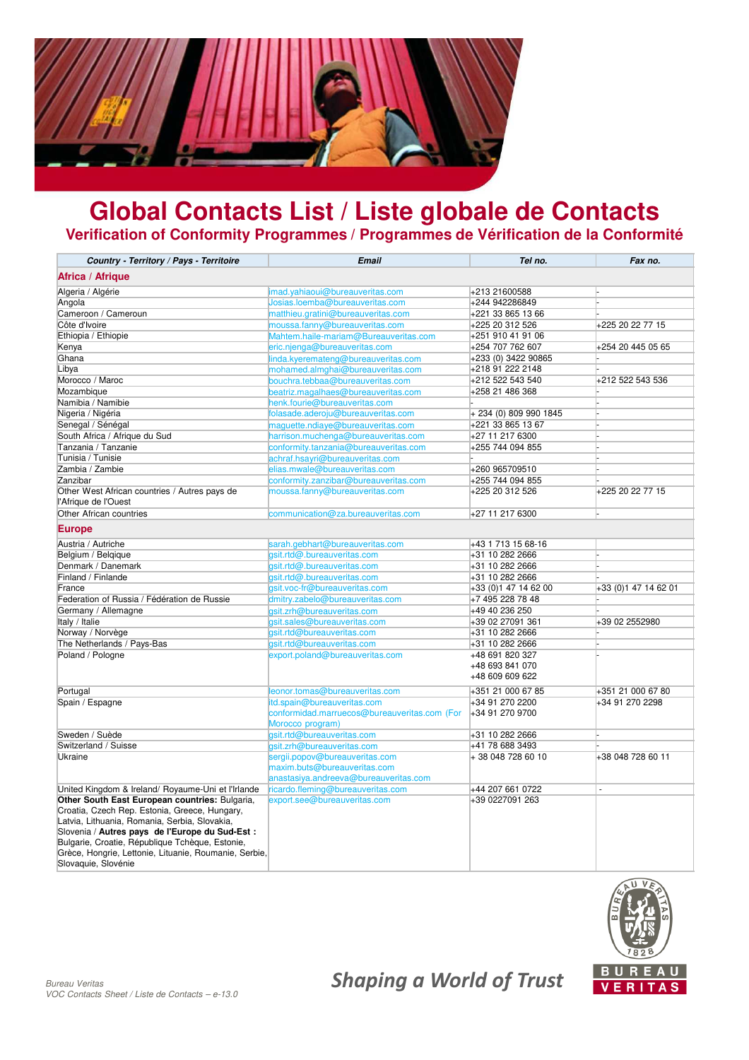

## **Global Contacts List / Liste globale de Contacts Verification of Conformity Programmes / Programmes de Vérification de la Conformité**

| Country - Territory / Pays - Territoire                                                                                                                                                                                                                       | <b>Email</b>                                                     | Tel no.                            | Fax no.               |
|---------------------------------------------------------------------------------------------------------------------------------------------------------------------------------------------------------------------------------------------------------------|------------------------------------------------------------------|------------------------------------|-----------------------|
| Africa / Afrique                                                                                                                                                                                                                                              |                                                                  |                                    |                       |
| Algeria / Algérie                                                                                                                                                                                                                                             | imad.yahiaoui@bureauveritas.com                                  | +213 21600588                      |                       |
| Angola                                                                                                                                                                                                                                                        | Josias.loemba@bureauveritas.com                                  | +244 942286849                     |                       |
| Cameroon / Cameroun                                                                                                                                                                                                                                           | matthieu.gratini@bureauveritas.com                               | +221 33 865 13 66                  |                       |
| Côte d'Ivoire                                                                                                                                                                                                                                                 | moussa.fanny@bureauveritas.com                                   | +225 20 312 526                    | +225 20 22 77 15      |
| Ethiopia / Ethiopie                                                                                                                                                                                                                                           | Mahtem.haile-mariam@Bureauveritas.com                            | +251 910 41 91 06                  |                       |
| Kenya                                                                                                                                                                                                                                                         | eric.njenga@bureauveritas.com                                    | +254 707 762 607                   | +254 20 445 05 65     |
| Ghana                                                                                                                                                                                                                                                         | linda.kyeremateng@bureauveritas.com                              | +233 (0) 3422 90865                |                       |
| Libya                                                                                                                                                                                                                                                         | mohamed.almghai@bureauveritas.com                                | +218 91 222 2148                   |                       |
| Morocco / Maroc                                                                                                                                                                                                                                               | bouchra.tebbaa@bureauveritas.com                                 | +212 522 543 540                   | +212 522 543 536      |
| Mozambique                                                                                                                                                                                                                                                    | beatriz.magalhaes@bureauveritas.com                              | +258 21 486 368                    |                       |
| Namibia / Namibie                                                                                                                                                                                                                                             | henk.fourie@bureauveritas.com                                    |                                    |                       |
| Nigeria / Nigéria                                                                                                                                                                                                                                             | folasade.aderoju@bureauveritas.com                               | +234 (0) 809 990 1845              |                       |
| Senegal / Sénégal                                                                                                                                                                                                                                             | maguette.ndiaye@bureauveritas.com                                | +221 33 865 13 67                  |                       |
| South Africa / Afrique du Sud                                                                                                                                                                                                                                 | harrison.muchenga@bureauveritas.com                              | +27 11 217 6300                    |                       |
| Tanzania / Tanzanie                                                                                                                                                                                                                                           | conformity.tanzania@bureauveritas.com                            | +255 744 094 855                   |                       |
| Tunisia / Tunisie                                                                                                                                                                                                                                             | achraf.hsayri@bureauveritas.com                                  |                                    |                       |
| Zambia / Zambie                                                                                                                                                                                                                                               | elias.mwale@bureauveritas.com                                    | +260 965709510                     |                       |
| Zanzibar                                                                                                                                                                                                                                                      | conformity.zanzibar@bureauveritas.com                            | +255 744 094 855                   |                       |
| Other West African countries / Autres pays de<br>l'Afrique de l'Ouest                                                                                                                                                                                         | moussa.fanny@bureauveritas.com                                   | +225 20 312 526                    | +225 20 22 77 15      |
| Other African countries                                                                                                                                                                                                                                       | communication@za.bureauveritas.com                               | +27 11 217 6300                    |                       |
| <b>Europe</b>                                                                                                                                                                                                                                                 |                                                                  |                                    |                       |
| Austria / Autriche                                                                                                                                                                                                                                            | sarah.gebhart@bureauveritas.com                                  | +43 1 713 15 68-16                 |                       |
| Belgium / Belgique                                                                                                                                                                                                                                            | gsit.rtd@.bureauveritas.com                                      | +31 10 282 2666                    |                       |
| Denmark / Danemark                                                                                                                                                                                                                                            | gsit.rtd@.bureauveritas.com                                      | +31 10 282 2666                    |                       |
| Finland / Finlande                                                                                                                                                                                                                                            | gsit.rtd@.bureauveritas.com                                      | +31 10 282 2666                    |                       |
| France                                                                                                                                                                                                                                                        | gsit.voc-fr@bureauveritas.com                                    | +33 (0)1 47 14 62 00               | +33 (0) 1 47 14 62 01 |
| Federation of Russia / Fédération de Russie                                                                                                                                                                                                                   | dmitry.zabelo@bureauveritas.com                                  | +7 495 228 78 48                   |                       |
| Germany / Allemagne                                                                                                                                                                                                                                           | gsit.zrh@bureauveritas.com                                       | +49 40 236 250                     |                       |
| Italy / Italie                                                                                                                                                                                                                                                | gsit.sales@bureauveritas.com                                     | +39 02 27091 361                   | +39 02 2552980        |
| Norway / Norvège                                                                                                                                                                                                                                              | gsit.rtd@bureauveritas.com                                       | +31 10 282 2666                    |                       |
| The Netherlands / Pays-Bas                                                                                                                                                                                                                                    | gsit.rtd@bureauveritas.com                                       | +31 10 282 2666                    |                       |
| Poland / Pologne                                                                                                                                                                                                                                              | export.poland@bureauveritas.com                                  | +48 691 820 327                    |                       |
|                                                                                                                                                                                                                                                               |                                                                  | +48 693 841 070<br>+48 609 609 622 |                       |
| Portugal                                                                                                                                                                                                                                                      | leonor.tomas@bureauveritas.com                                   | +351 21 000 67 85                  | +351 21 000 67 80     |
| Spain / Espagne                                                                                                                                                                                                                                               | itd.spain@bureauveritas.com                                      | +34 91 270 2200                    | +34 91 270 2298       |
|                                                                                                                                                                                                                                                               | conformidad.marruecos@bureauveritas.com (For<br>Morocco program) | +34 91 270 9700                    |                       |
| Sweden / Suède                                                                                                                                                                                                                                                | gsit.rtd@bureauveritas.com                                       | +31 10 282 2666                    |                       |
| Switzerland / Suisse                                                                                                                                                                                                                                          | gsit.zrh@bureauveritas.com                                       | +41 78 688 3493                    |                       |
| Ukraine                                                                                                                                                                                                                                                       | sergii.popov@bureauveritas.com                                   | +38 048 728 60 10                  | +38 048 728 60 11     |
|                                                                                                                                                                                                                                                               | maxim.buts@bureauveritas.com                                     |                                    |                       |
|                                                                                                                                                                                                                                                               | anastasiya.andreeva@bureauveritas.com                            |                                    |                       |
| United Kingdom & Ireland/ Royaume-Uni et l'Irlande                                                                                                                                                                                                            | ricardo.fleming@bureauveritas.com                                | +44 207 661 0722                   | ä,                    |
| Other South East European countries: Bulgaria,                                                                                                                                                                                                                | export.see@bureauveritas.com                                     | +39 0227091 263                    |                       |
| Croatia, Czech Rep. Estonia, Greece, Hungary,<br>Latvia, Lithuania, Romania, Serbia, Slovakia,<br>Slovenia / Autres pays de l'Europe du Sud-Est :<br>Bulgarie, Croatie, République Tchèque, Estonie,<br>Grèce, Hongrie, Lettonie, Lituanie, Roumanie, Serbie, |                                                                  |                                    |                       |
| Slovaquie, Slovénie                                                                                                                                                                                                                                           |                                                                  |                                    |                       |